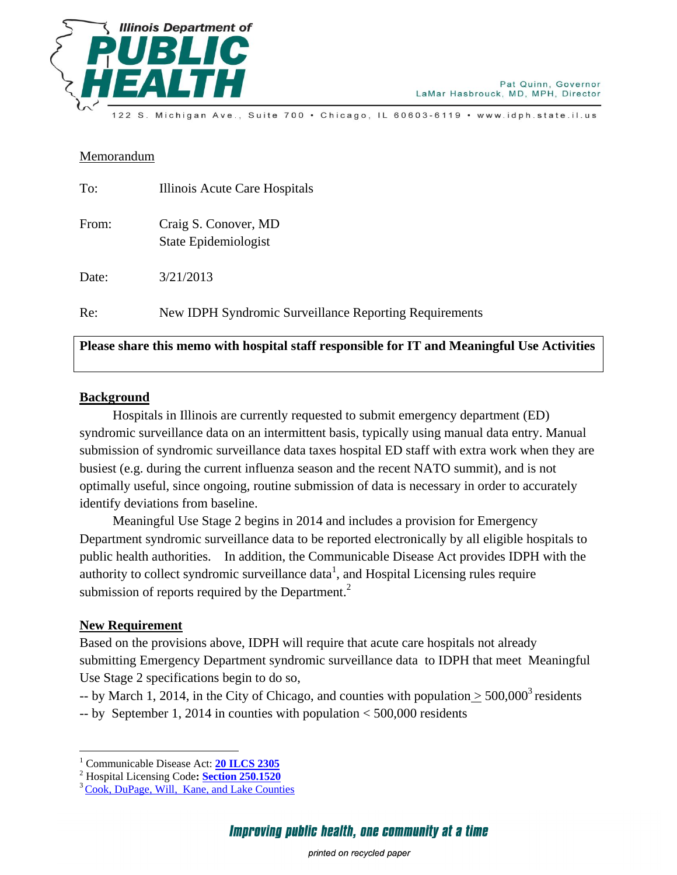

Michigan Ave., Suite 700 · Chicago, IL 60603-6119 · www.idph.state.il.us

## Memorandum

| To:   | Illinois Acute Care Hospitals                          |
|-------|--------------------------------------------------------|
| From: | Craig S. Conover, MD<br>State Epidemiologist           |
| Date: | 3/21/2013                                              |
| Re:   | New IDPH Syndromic Surveillance Reporting Requirements |

## **Please share this memo with hospital staff responsible for IT and Meaningful Use Activities**

## **Background**

 Hospitals in Illinois are currently requested to submit emergency department (ED) syndromic surveillance data on an intermittent basis, typically using manual data entry. Manual submission of syndromic surveillance data taxes hospital ED staff with extra work when they are busiest (e.g. during the current influenza season and the recent NATO summit), and is not optimally useful, since ongoing, routine submission of data is necessary in order to accurately identify deviations from baseline.

 Meaningful Use Stage 2 begins in 2014 and includes a provision for Emergency Department syndromic surveillance data to be reported electronically by all eligible hospitals to public health authorities. In addition, the Communicable Disease Act provides IDPH with the authority to collect syndromic surveillance data<sup>1</sup>, and Hospital Licensing rules require submission of reports required by the Department. $2$ 

## **New Requirement**

 $\overline{a}$ 

Based on the provisions above, IDPH will require that acute care hospitals not already submitting Emergency Department syndromic surveillance data to IDPH that meet Meaningful Use Stage 2 specifications begin to do so,

-- by March 1, 2014, in the City of Chicago, and counties with population  $\geq 500,000^3$  residents

-- by September 1, 2014 in counties with population < 500,000 residents

<sup>1</sup> Communicable Disease Act: **[20 ILCS 2305](http://www.ilga.gov/legislation/ilcs/ilcs3.asp?ActID=330&ChapAct=20 ILCS 2305/&ChapterID=5&ChapterName=EXECUTIVE+BRANCH&ActName=Department+of+Public+Health+Act%2E+%28Part+1%29)**

<sup>2</sup> Hospital Licensing Code**: [Section 250.1520](http://www.ilga.gov/commission/jcar/admincode/077/077002500L15200R.html)**

<sup>&</sup>lt;sup>3</sup> Cook, DuPage, Will, Kane, and Lake Counties